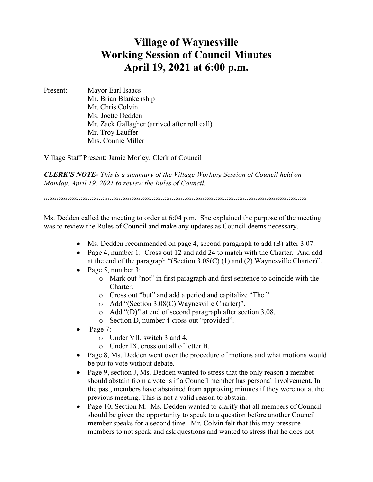## **Village of Waynesville Working Session of Council Minutes April 19, 2021 at 6:00 p.m.**

Present: Mayor Earl Isaacs Mr. Brian Blankenship Mr. Chris Colvin Ms. Joette Dedden Mr. Zack Gallagher (arrived after roll call) Mr. Troy Lauffer Mrs. Connie Miller

Village Staff Present: Jamie Morley, Clerk of Council

*CLERK'S NOTE- This is a summary of the Village Working Session of Council held on Monday, April 19, 2021 to review the Rules of Council.*

 $\label{prop:main} \hspace{1.5cm} \hspace{1.5cm} \textbf{if} \hspace{1.5cm} \begin{minipage}{0.9cm} \begin{minipage}{0.9cm} \begin{minipage}{0.9cm} \begin{minipage}{0.9cm} \begin{minipage}{0.9cm} \begin{minipage}{0.9cm} \begin{minipage}{0.9cm} \begin{minipage}{0.9cm} \begin{minipage}{0.9cm} \begin{minipage}{0.9cm} \begin{minipage}{0.9cm} \begin{minipage}{0.9cm} \begin{minipage}{0.9cm} \begin{minipage}{0.9cm} \begin{minipage}{0.9cm} \$ 

Ms. Dedden called the meeting to order at 6:04 p.m. She explained the purpose of the meeting was to review the Rules of Council and make any updates as Council deems necessary.

- Ms. Dedden recommended on page 4, second paragraph to add (B) after 3.07.
- Page 4, number 1: Cross out 12 and add 24 to match with the Charter. And add at the end of the paragraph "(Section 3.08(C) (1) and (2) Waynesville Charter)".
- Page 5, number 3:
	- o Mark out "not" in first paragraph and first sentence to coincide with the Charter.
	- o Cross out "but" and add a period and capitalize "The."
	- o Add "(Section 3.08(C) Waynesville Charter)".
	- o Add "(D)" at end of second paragraph after section 3.08.
	- o Section D, number 4 cross out "provided".
- Page 7:
	- o Under VII, switch 3 and 4.
	- o Under IX, cross out all of letter B.
- Page 8, Ms. Dedden went over the procedure of motions and what motions would be put to vote without debate.
- Page 9, section J, Ms. Dedden wanted to stress that the only reason a member should abstain from a vote is if a Council member has personal involvement. In the past, members have abstained from approving minutes if they were not at the previous meeting. This is not a valid reason to abstain.
- Page 10, Section M: Ms. Dedden wanted to clarify that all members of Council should be given the opportunity to speak to a question before another Council member speaks for a second time. Mr. Colvin felt that this may pressure members to not speak and ask questions and wanted to stress that he does not